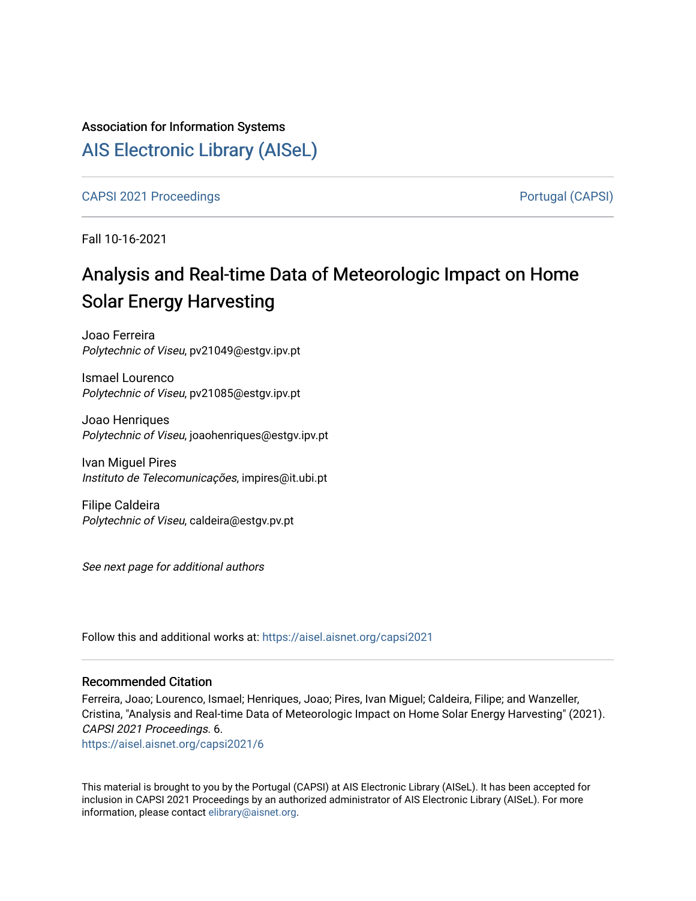# Association for Information Systems

# [AIS Electronic Library \(AISeL\)](https://aisel.aisnet.org/)

[CAPSI 2021 Proceedings](https://aisel.aisnet.org/capsi2021) **Portugal (CAPSI)** Portugal (CAPSI)

Fall 10-16-2021

# Analysis and Real-time Data of Meteorologic Impact on Home Solar Energy Harvesting

Joao Ferreira Polytechnic of Viseu, pv21049@estgv.ipv.pt

Ismael Lourenco Polytechnic of Viseu, pv21085@estgv.ipv.pt

Joao Henriques Polytechnic of Viseu, joaohenriques@estgv.ipv.pt

Ivan Miguel Pires Instituto de Telecomunicações, impires@it.ubi.pt

Filipe Caldeira Polytechnic of Viseu, caldeira@estgv.pv.pt

See next page for additional authors

Follow this and additional works at: [https://aisel.aisnet.org/capsi2021](https://aisel.aisnet.org/capsi2021?utm_source=aisel.aisnet.org%2Fcapsi2021%2F6&utm_medium=PDF&utm_campaign=PDFCoverPages)

#### Recommended Citation

Ferreira, Joao; Lourenco, Ismael; Henriques, Joao; Pires, Ivan Miguel; Caldeira, Filipe; and Wanzeller, Cristina, "Analysis and Real-time Data of Meteorologic Impact on Home Solar Energy Harvesting" (2021). CAPSI 2021 Proceedings. 6.

[https://aisel.aisnet.org/capsi2021/6](https://aisel.aisnet.org/capsi2021/6?utm_source=aisel.aisnet.org%2Fcapsi2021%2F6&utm_medium=PDF&utm_campaign=PDFCoverPages)

This material is brought to you by the Portugal (CAPSI) at AIS Electronic Library (AISeL). It has been accepted for inclusion in CAPSI 2021 Proceedings by an authorized administrator of AIS Electronic Library (AISeL). For more information, please contact [elibrary@aisnet.org.](mailto:elibrary@aisnet.org%3E)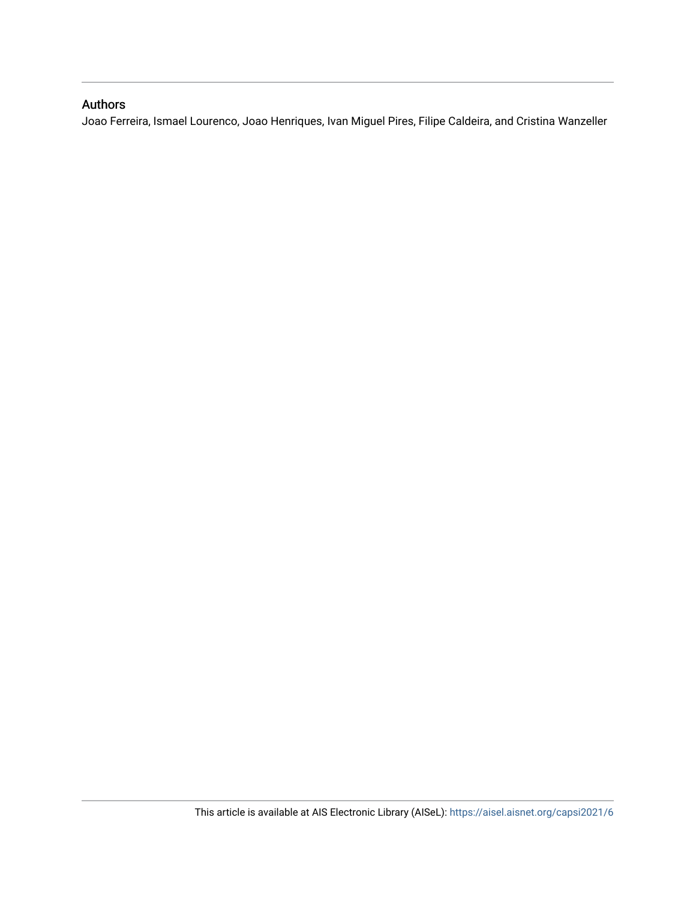## Authors

Joao Ferreira, Ismael Lourenco, Joao Henriques, Ivan Miguel Pires, Filipe Caldeira, and Cristina Wanzeller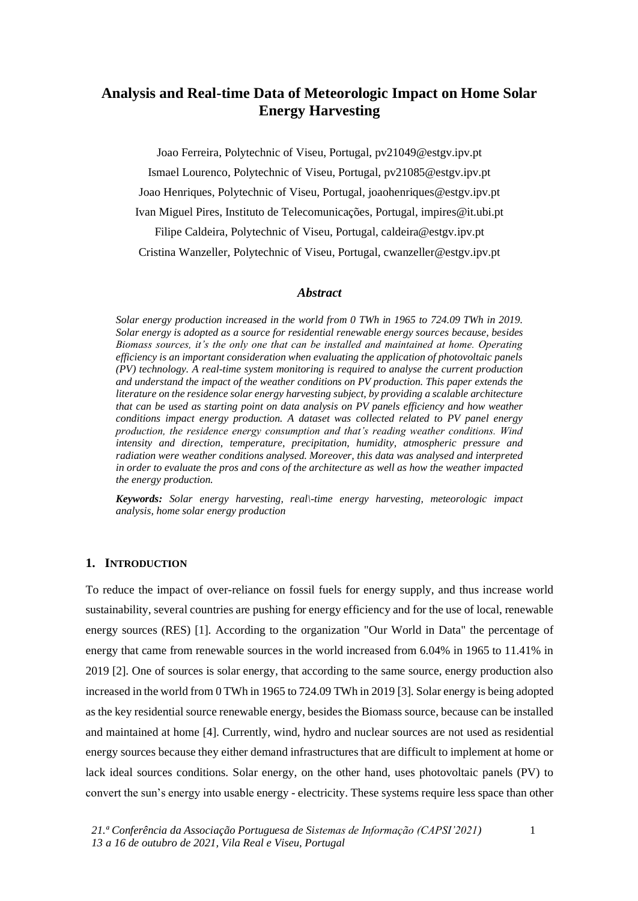# **Analysis and Real-time Data of Meteorologic Impact on Home Solar Energy Harvesting**

Joao Ferreira, Polytechnic of Viseu, Portugal, pv21049@estgv.ipv.pt Ismael Lourenco, Polytechnic of Viseu, Portugal, pv21085@estgv.ipv.pt Joao Henriques, Polytechnic of Viseu, Portugal, joaohenriques@estgv.ipv.pt Ivan Miguel Pires, Instituto de Telecomunicações, Portugal, impires@it.ubi.pt Filipe Caldeira, Polytechnic of Viseu, Portugal, caldeira@estgv.ipv.pt Cristina Wanzeller, Polytechnic of Viseu, Portugal, cwanzeller@estgv.ipv.pt

#### *Abstract*

*Solar energy production increased in the world from 0 TWh in 1965 to 724.09 TWh in 2019. Solar energy is adopted as a source for residential renewable energy sources because, besides Biomass sources, it's the only one that can be installed and maintained at home. Operating efficiency is an important consideration when evaluating the application of photovoltaic panels (PV) technology. A real-time system monitoring is required to analyse the current production and understand the impact of the weather conditions on PV production. This paper extends the literature on the residence solar energy harvesting subject, by providing a scalable architecture that can be used as starting point on data analysis on PV panels efficiency and how weather conditions impact energy production. A dataset was collected related to PV panel energy production, the residence energy consumption and that's reading weather conditions. Wind intensity and direction, temperature, precipitation, humidity, atmospheric pressure and radiation were weather conditions analysed. Moreover, this data was analysed and interpreted in order to evaluate the pros and cons of the architecture as well as how the weather impacted the energy production.*

*Keywords: Solar energy harvesting, real\-time energy harvesting, meteorologic impact analysis, home solar energy production*

#### **1. INTRODUCTION**

To reduce the impact of over-reliance on fossil fuels for energy supply, and thus increase world sustainability, several countries are pushing for energy efficiency and for the use of local, renewable energy sources (RES) [1]. According to the organization "Our World in Data" the percentage of energy that came from renewable sources in the world increased from 6.04% in 1965 to 11.41% in 2019 [2]. One of sources is solar energy, that according to the same source, energy production also increased in the world from 0 TWh in 1965 to 724.09 TWh in 2019 [3]. Solar energy is being adopted as the key residential source renewable energy, besides the Biomass source, because can be installed and maintained at home [4]. Currently, wind, hydro and nuclear sources are not used as residential energy sources because they either demand infrastructures that are difficult to implement at home or lack ideal sources conditions. Solar energy, on the other hand, uses photovoltaic panels (PV) to convert the sun's energy into usable energy - electricity. These systems require less space than other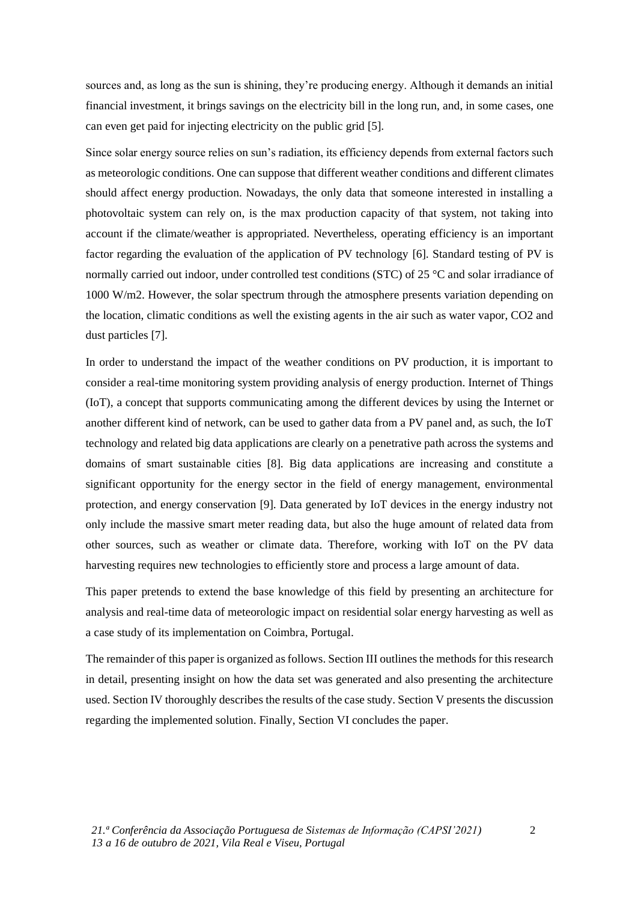sources and, as long as the sun is shining, they're producing energy. Although it demands an initial financial investment, it brings savings on the electricity bill in the long run, and, in some cases, one can even get paid for injecting electricity on the public grid [5].

Since solar energy source relies on sun's radiation, its efficiency depends from external factors such as meteorologic conditions. One can suppose that different weather conditions and different climates should affect energy production. Nowadays, the only data that someone interested in installing a photovoltaic system can rely on, is the max production capacity of that system, not taking into account if the climate/weather is appropriated. Nevertheless, operating efficiency is an important factor regarding the evaluation of the application of PV technology [6]. Standard testing of PV is normally carried out indoor, under controlled test conditions (STC) of 25 °C and solar irradiance of 1000 W/m2. However, the solar spectrum through the atmosphere presents variation depending on the location, climatic conditions as well the existing agents in the air such as water vapor, CO2 and dust particles [7].

In order to understand the impact of the weather conditions on PV production, it is important to consider a real-time monitoring system providing analysis of energy production. Internet of Things (IoT), a concept that supports communicating among the different devices by using the Internet or another different kind of network, can be used to gather data from a PV panel and, as such, the IoT technology and related big data applications are clearly on a penetrative path across the systems and domains of smart sustainable cities [8]. Big data applications are increasing and constitute a significant opportunity for the energy sector in the field of energy management, environmental protection, and energy conservation [9]. Data generated by IoT devices in the energy industry not only include the massive smart meter reading data, but also the huge amount of related data from other sources, such as weather or climate data. Therefore, working with IoT on the PV data harvesting requires new technologies to efficiently store and process a large amount of data.

This paper pretends to extend the base knowledge of this field by presenting an architecture for analysis and real-time data of meteorologic impact on residential solar energy harvesting as well as a case study of its implementation on Coimbra, Portugal.

The remainder of this paper is organized as follows. Section III outlines the methods for this research in detail, presenting insight on how the data set was generated and also presenting the architecture used. Section IV thoroughly describes the results of the case study. Section V presents the discussion regarding the implemented solution. Finally, Section VI concludes the paper.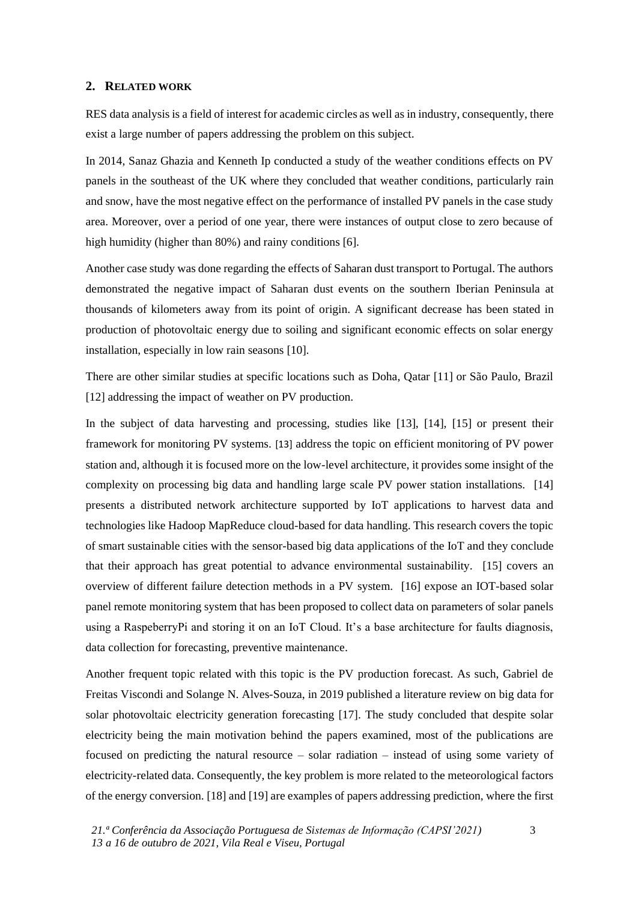#### **2. RELATED WORK**

RES data analysis is a field of interest for academic circles as well as in industry, consequently, there exist a large number of papers addressing the problem on this subject.

In 2014, Sanaz Ghazia and Kenneth Ip conducted a study of the weather conditions effects on PV panels in the southeast of the UK where they concluded that weather conditions, particularly rain and snow, have the most negative effect on the performance of installed PV panels in the case study area. Moreover, over a period of one year, there were instances of output close to zero because of high humidity (higher than 80%) and rainy conditions [6].

Another case study was done regarding the effects of Saharan dust transport to Portugal. The authors demonstrated the negative impact of Saharan dust events on the southern Iberian Peninsula at thousands of kilometers away from its point of origin. A significant decrease has been stated in production of photovoltaic energy due to soiling and significant economic effects on solar energy installation, especially in low rain seasons [10].

There are other similar studies at specific locations such as Doha, Qatar [11] or São Paulo, Brazil [12] addressing the impact of weather on PV production.

In the subject of data harvesting and processing, studies like [13], [14], [15] or present their framework for monitoring PV systems. [13] address the topic on efficient monitoring of PV power station and, although it is focused more on the low-level architecture, it provides some insight of the complexity on processing big data and handling large scale PV power station installations. [14] presents a distributed network architecture supported by IoT applications to harvest data and technologies like Hadoop MapReduce cloud-based for data handling. This research covers the topic of smart sustainable cities with the sensor-based big data applications of the IoT and they conclude that their approach has great potential to advance environmental sustainability. [15] covers an overview of different failure detection methods in a PV system. [16] expose an IOT-based solar panel remote monitoring system that has been proposed to collect data on parameters of solar panels using a RaspeberryPi and storing it on an IoT Cloud. It's a base architecture for faults diagnosis, data collection for forecasting, preventive maintenance.

Another frequent topic related with this topic is the PV production forecast. As such, Gabriel de Freitas Viscondi and Solange N. Alves-Souza, in 2019 published a literature review on big data for solar photovoltaic electricity generation forecasting [17]. The study concluded that despite solar electricity being the main motivation behind the papers examined, most of the publications are focused on predicting the natural resource – solar radiation – instead of using some variety of electricity-related data. Consequently, the key problem is more related to the meteorological factors of the energy conversion. [18] and [19] are examples of papers addressing prediction, where the first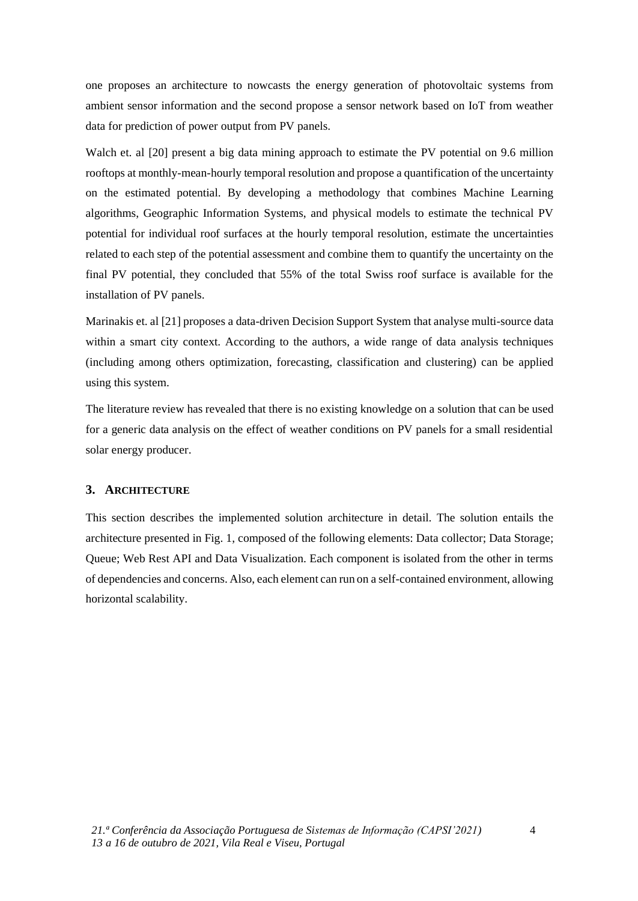one proposes an architecture to nowcasts the energy generation of photovoltaic systems from ambient sensor information and the second propose a sensor network based on IoT from weather data for prediction of power output from PV panels.

Walch et. al [20] present a big data mining approach to estimate the PV potential on 9.6 million rooftops at monthly-mean-hourly temporal resolution and propose a quantification of the uncertainty on the estimated potential. By developing a methodology that combines Machine Learning algorithms, Geographic Information Systems, and physical models to estimate the technical PV potential for individual roof surfaces at the hourly temporal resolution, estimate the uncertainties related to each step of the potential assessment and combine them to quantify the uncertainty on the final PV potential, they concluded that 55% of the total Swiss roof surface is available for the installation of PV panels.

Marinakis et. al [21] proposes a data-driven Decision Support System that analyse multi-source data within a smart city context. According to the authors, a wide range of data analysis techniques (including among others optimization, forecasting, classification and clustering) can be applied using this system.

The literature review has revealed that there is no existing knowledge on a solution that can be used for a generic data analysis on the effect of weather conditions on PV panels for a small residential solar energy producer.

### **3. ARCHITECTURE**

This section describes the implemented solution architecture in detail. The solution entails the architecture presented in Fig. 1, composed of the following elements: Data collector; Data Storage; Queue; Web Rest API and Data Visualization. Each component is isolated from the other in terms of dependencies and concerns. Also, each element can run on a self-contained environment, allowing horizontal scalability.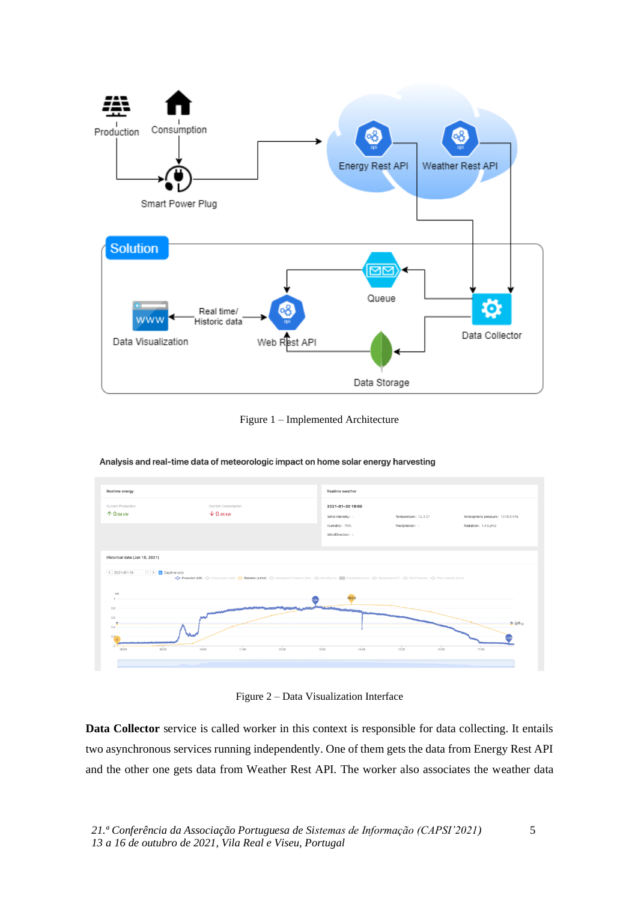

Figure 1 – Implemented Architecture



Analysis and real-time data of meteorologic impact on home solar energy harvesting

Figure 2 – Data Visualization Interface

**Data Collector** service is called worker in this context is responsible for data collecting. It entails two asynchronous services running independently. One of them gets the data from Energy Rest API and the other one gets data from Weather Rest API. The worker also associates the weather data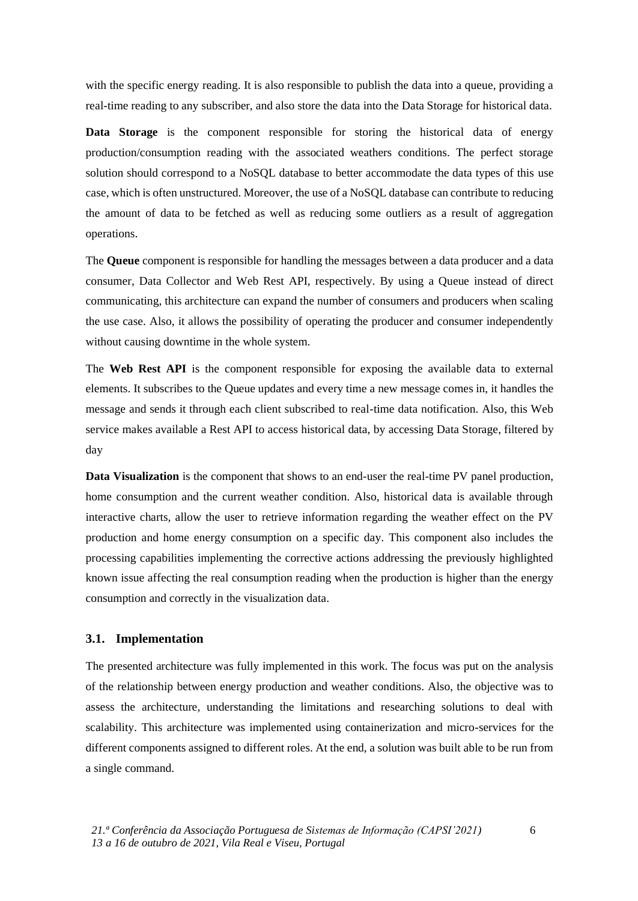with the specific energy reading. It is also responsible to publish the data into a queue, providing a real-time reading to any subscriber, and also store the data into the Data Storage for historical data.

**Data Storage** is the component responsible for storing the historical data of energy production/consumption reading with the associated weathers conditions. The perfect storage solution should correspond to a NoSQL database to better accommodate the data types of this use case, which is often unstructured. Moreover, the use of a NoSQL database can contribute to reducing the amount of data to be fetched as well as reducing some outliers as a result of aggregation operations.

The **Queue** component is responsible for handling the messages between a data producer and a data consumer, Data Collector and Web Rest API, respectively. By using a Queue instead of direct communicating, this architecture can expand the number of consumers and producers when scaling the use case. Also, it allows the possibility of operating the producer and consumer independently without causing downtime in the whole system.

The **Web Rest API** is the component responsible for exposing the available data to external elements. It subscribes to the Queue updates and every time a new message comes in, it handles the message and sends it through each client subscribed to real-time data notification. Also, this Web service makes available a Rest API to access historical data, by accessing Data Storage, filtered by day

**Data Visualization** is the component that shows to an end-user the real-time PV panel production, home consumption and the current weather condition. Also, historical data is available through interactive charts, allow the user to retrieve information regarding the weather effect on the PV production and home energy consumption on a specific day. This component also includes the processing capabilities implementing the corrective actions addressing the previously highlighted known issue affecting the real consumption reading when the production is higher than the energy consumption and correctly in the visualization data.

#### **3.1. Implementation**

The presented architecture was fully implemented in this work. The focus was put on the analysis of the relationship between energy production and weather conditions. Also, the objective was to assess the architecture, understanding the limitations and researching solutions to deal with scalability. This architecture was implemented using containerization and micro-services for the different components assigned to different roles. At the end, a solution was built able to be run from a single command.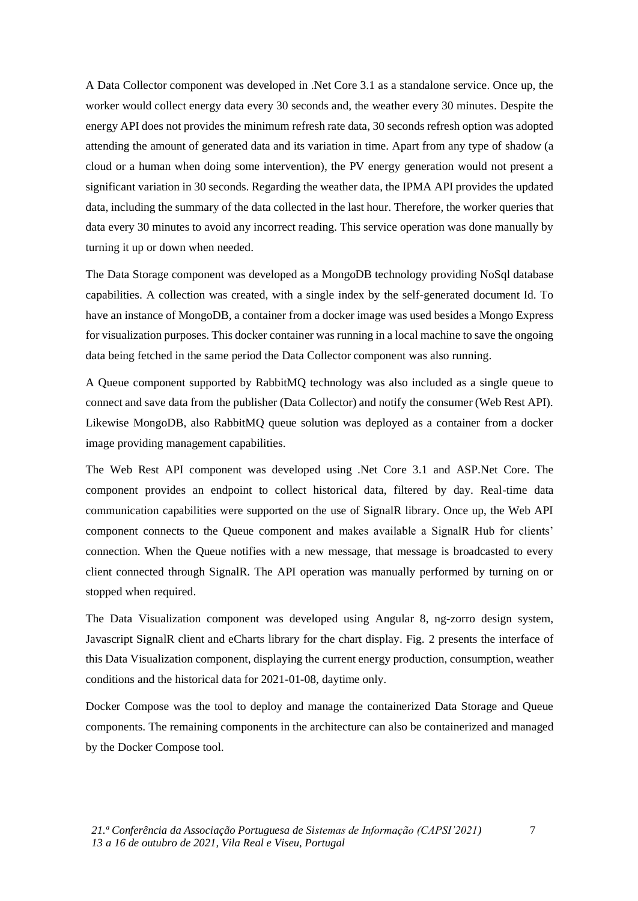A Data Collector component was developed in .Net Core 3.1 as a standalone service. Once up, the worker would collect energy data every 30 seconds and, the weather every 30 minutes. Despite the energy API does not provides the minimum refresh rate data, 30 seconds refresh option was adopted attending the amount of generated data and its variation in time. Apart from any type of shadow (a cloud or a human when doing some intervention), the PV energy generation would not present a significant variation in 30 seconds. Regarding the weather data, the IPMA API provides the updated data, including the summary of the data collected in the last hour. Therefore, the worker queries that data every 30 minutes to avoid any incorrect reading. This service operation was done manually by turning it up or down when needed.

The Data Storage component was developed as a MongoDB technology providing NoSql database capabilities. A collection was created, with a single index by the self-generated document Id. To have an instance of MongoDB, a container from a docker image was used besides a Mongo Express for visualization purposes. This docker container was running in a local machine to save the ongoing data being fetched in the same period the Data Collector component was also running.

A Queue component supported by RabbitMQ technology was also included as a single queue to connect and save data from the publisher (Data Collector) and notify the consumer (Web Rest API). Likewise MongoDB, also RabbitMQ queue solution was deployed as a container from a docker image providing management capabilities.

The Web Rest API component was developed using .Net Core 3.1 and ASP.Net Core. The component provides an endpoint to collect historical data, filtered by day. Real-time data communication capabilities were supported on the use of SignalR library. Once up, the Web API component connects to the Queue component and makes available a SignalR Hub for clients' connection. When the Queue notifies with a new message, that message is broadcasted to every client connected through SignalR. The API operation was manually performed by turning on or stopped when required.

The Data Visualization component was developed using Angular 8, ng-zorro design system, Javascript SignalR client and eCharts library for the chart display. Fig. 2 presents the interface of this Data Visualization component, displaying the current energy production, consumption, weather conditions and the historical data for 2021-01-08, daytime only.

Docker Compose was the tool to deploy and manage the containerized Data Storage and Queue components. The remaining components in the architecture can also be containerized and managed by the Docker Compose tool.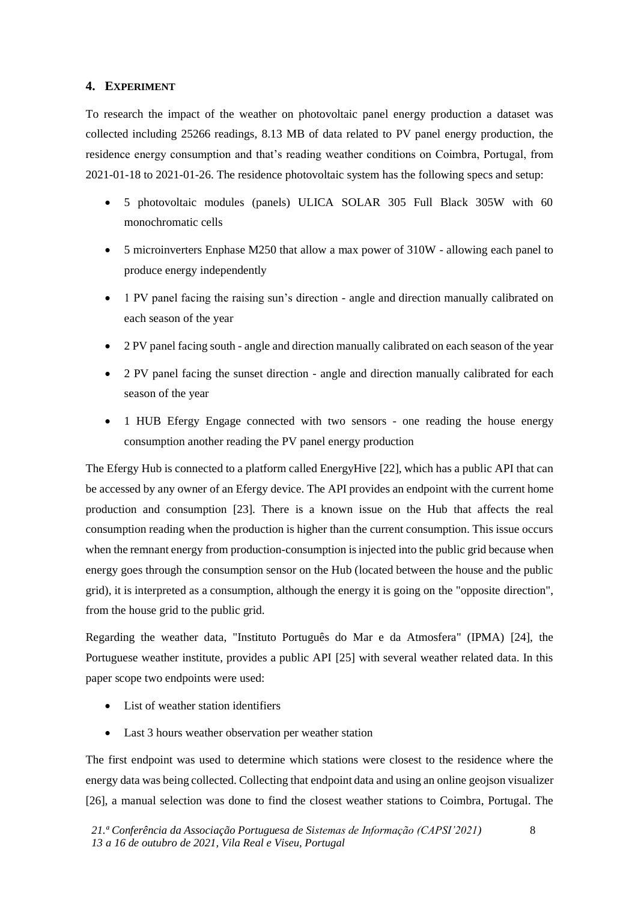### **4. EXPERIMENT**

To research the impact of the weather on photovoltaic panel energy production a dataset was collected including 25266 readings, 8.13 MB of data related to PV panel energy production, the residence energy consumption and that's reading weather conditions on Coimbra, Portugal, from 2021-01-18 to 2021-01-26. The residence photovoltaic system has the following specs and setup:

- 5 photovoltaic modules (panels) ULICA SOLAR 305 Full Black 305W with 60 monochromatic cells
- 5 microinverters Enphase M250 that allow a max power of 310W allowing each panel to produce energy independently
- 1 PV panel facing the raising sun's direction angle and direction manually calibrated on each season of the year
- 2 PV panel facing south angle and direction manually calibrated on each season of the year
- 2 PV panel facing the sunset direction angle and direction manually calibrated for each season of the year
- 1 HUB Efergy Engage connected with two sensors one reading the house energy consumption another reading the PV panel energy production

The Efergy Hub is connected to a platform called EnergyHive [22], which has a public API that can be accessed by any owner of an Efergy device. The API provides an endpoint with the current home production and consumption [23]. There is a known issue on the Hub that affects the real consumption reading when the production is higher than the current consumption. This issue occurs when the remnant energy from production-consumption is injected into the public grid because when energy goes through the consumption sensor on the Hub (located between the house and the public grid), it is interpreted as a consumption, although the energy it is going on the "opposite direction", from the house grid to the public grid.

Regarding the weather data, "Instituto Português do Mar e da Atmosfera" (IPMA) [24], the Portuguese weather institute, provides a public API [25] with several weather related data. In this paper scope two endpoints were used:

- List of weather station identifiers
- Last 3 hours weather observation per weather station

The first endpoint was used to determine which stations were closest to the residence where the energy data was being collected. Collecting that endpoint data and using an online geojson visualizer [26], a manual selection was done to find the closest weather stations to Coimbra, Portugal. The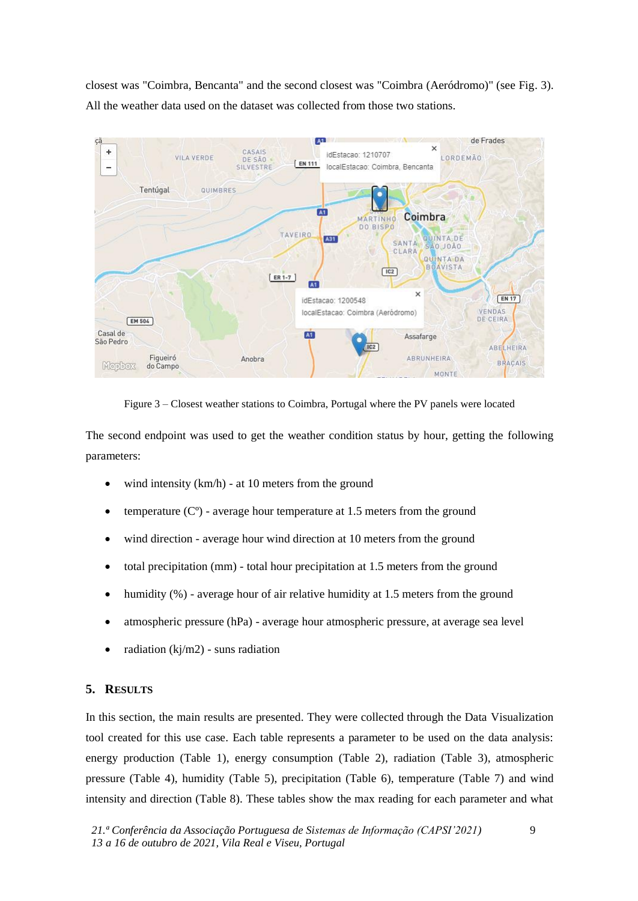closest was "Coimbra, Bencanta" and the second closest was "Coimbra (Aeródromo)" (see Fig. 3). All the weather data used on the dataset was collected from those two stations.



Figure 3 – Closest weather stations to Coimbra, Portugal where the PV panels were located

The second endpoint was used to get the weather condition status by hour, getting the following parameters:

- wind intensity (km/h) at 10 meters from the ground
- temperature  $(C<sup>o</sup>)$  average hour temperature at 1.5 meters from the ground
- wind direction average hour wind direction at 10 meters from the ground
- total precipitation (mm) total hour precipitation at 1.5 meters from the ground
- humidity (%) average hour of air relative humidity at 1.5 meters from the ground
- atmospheric pressure (hPa) average hour atmospheric pressure, at average sea level
- radiation ( $kj/m2$ ) suns radiation

#### **5. RESULTS**

In this section, the main results are presented. They were collected through the Data Visualization tool created for this use case. Each table represents a parameter to be used on the data analysis: energy production (Table 1), energy consumption (Table 2), radiation (Table 3), atmospheric pressure (Table 4), humidity (Table 5), precipitation (Table 6), temperature (Table 7) and wind intensity and direction (Table 8). These tables show the max reading for each parameter and what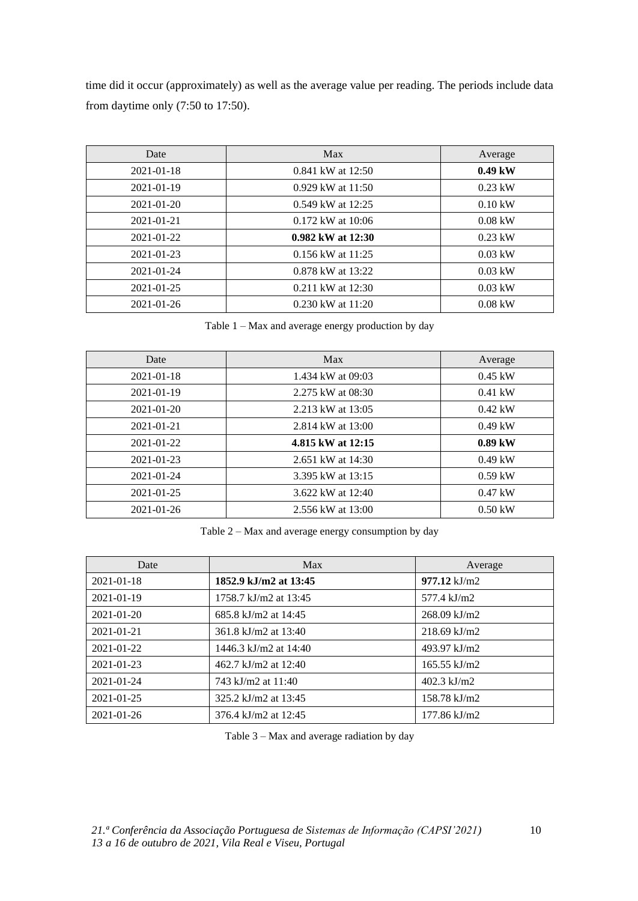time did it occur (approximately) as well as the average value per reading. The periods include data from daytime only (7:50 to 17:50).

| Date             | Max                   | Average           |
|------------------|-----------------------|-------------------|
| 2021-01-18       | 0.841 kW at 12:50     | $0.49$ kW         |
| 2021-01-19       | $0.929$ kW at 11:50   | $0.23$ kW         |
| $2021 - 01 - 20$ | 0.549 kW at 12:25     | $0.10 \text{ kW}$ |
| $2021 - 01 - 21$ | $0.172$ kW at $10:06$ | $0.08$ kW         |
| $2021 - 01 - 22$ | $0.982$ kW at $12:30$ | $0.23$ kW         |
| $2021 - 01 - 23$ | $0.156$ kW at $11:25$ | $0.03$ kW         |
| $2021 - 01 - 24$ | 0.878 kW at 13:22     | $0.03$ kW         |
| $2021 - 01 - 25$ | 0.211 kW at 12:30     | $0.03$ kW         |
| 2021-01-26       | $0.230$ kW at $11:20$ | $0.08$ kW         |

Table 1 – Max and average energy production by day

| Date             | Max               | Average           |
|------------------|-------------------|-------------------|
| $2021 - 01 - 18$ | 1.434 kW at 09:03 | $0.45$ kW         |
| 2021-01-19       | 2.275 kW at 08:30 | $0.41$ kW         |
| $2021 - 01 - 20$ | 2.213 kW at 13:05 | $0.42 \text{ kW}$ |
| 2021-01-21       | 2.814 kW at 13:00 | $0.49$ kW         |
| $2021 - 01 - 22$ | 4.815 kW at 12:15 | $0.89$ kW         |
| $2021 - 01 - 23$ | 2.651 kW at 14:30 | $0.49$ kW         |
| $2021 - 01 - 24$ | 3.395 kW at 13:15 | $0.59$ kW         |
| $2021 - 01 - 25$ | 3.622 kW at 12:40 | $0.47$ kW         |
| $2021 - 01 - 26$ | 2.556 kW at 13:00 | $0.50$ kW         |

Table 2 – Max and average energy consumption by day

| Date             | Max                   | Average                |
|------------------|-----------------------|------------------------|
| 2021-01-18       | 1852.9 kJ/m2 at 13:45 | $977.12$ kJ/m2         |
| 2021-01-19       | 1758.7 kJ/m2 at 13:45 | 577.4 kJ/m2            |
| $2021 - 01 - 20$ | 685.8 kJ/m2 at 14:45  | $268.09$ kJ/m2         |
| 2021-01-21       | 361.8 kJ/m2 at 13:40  | $218.69$ kJ/m2         |
| $2021 - 01 - 22$ | 1446.3 kJ/m2 at 14:40 | 493.97 kJ/m2           |
| 2021-01-23       | 462.7 kJ/m2 at 12:40  | $165.55$ kJ/m2         |
| 2021-01-24       | 743 kJ/m2 at 11:40    | $402.3$ kJ/m2          |
| 2021-01-25       | 325.2 kJ/m2 at 13:45  | $158.78$ kJ/m2         |
| 2021-01-26       | 376.4 kJ/m2 at 12:45  | $177.86 \text{ kJ/m2}$ |

Table 3 – Max and average radiation by day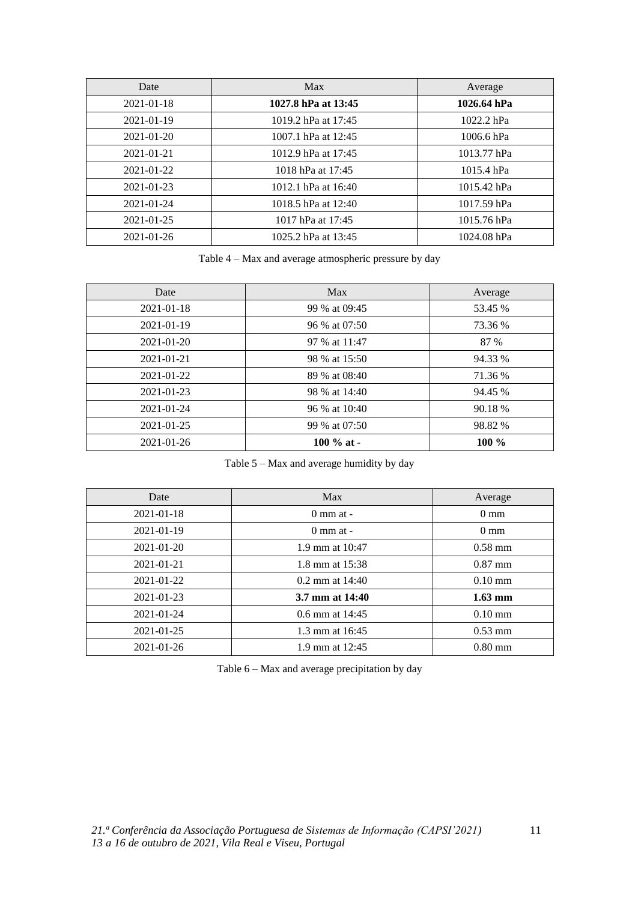| Date             | Max                 | Average      |
|------------------|---------------------|--------------|
| 2021-01-18       | 1027.8 hPa at 13:45 | 1026.64 hPa  |
| 2021-01-19       | 1019.2 hPa at 17:45 | $1022.2$ hPa |
| $2021 - 01 - 20$ | 1007.1 hPa at 12:45 | 1006.6 hPa   |
| $2021 - 01 - 21$ | 1012.9 hPa at 17:45 | 1013.77 hPa  |
| 2021-01-22       | 1018 hPa at 17:45   | $1015.4$ hPa |
| $2021 - 01 - 23$ | 1012.1 hPa at 16:40 | 1015.42 hPa  |
| $2021 - 01 - 24$ | 1018.5 hPa at 12:40 | 1017.59 hPa  |
| $2021 - 01 - 25$ | 1017 hPa at 17:45   | 1015.76 hPa  |
| $2021 - 01 - 26$ | 1025.2 hPa at 13:45 | 1024.08 hPa  |

Table 4 – Max and average atmospheric pressure by day

| Date             | Max           | Average |
|------------------|---------------|---------|
| 2021-01-18       | 99 % at 09:45 | 53.45 % |
| 2021-01-19       | 96 % at 07:50 | 73.36 % |
| 2021-01-20       | 97 % at 11:47 | 87 %    |
| 2021-01-21       | 98 % at 15:50 | 94.33 % |
| $2021 - 01 - 22$ | 89 % at 08:40 | 71.36 % |
| $2021 - 01 - 23$ | 98 % at 14:40 | 94.45 % |
| $2021 - 01 - 24$ | 96 % at 10:40 | 90.18 % |
| 2021-01-25       | 99 % at 07:50 | 98.82 % |
| $2021 - 01 - 26$ | 100 $%$ at -  | $100\%$ |

Table 5 – Max and average humidity by day

| Date             | Max                  | Average           |
|------------------|----------------------|-------------------|
| 2021-01-18       | $0 \text{ mm}$ at -  | $0 \text{ mm}$    |
| $2021 - 01 - 19$ | $0 \text{ mm at } -$ | $0 \text{ mm}$    |
| $2021 - 01 - 20$ | 1.9 mm at $10:47$    | $0.58 \text{ mm}$ |
| 2021-01-21       | 1.8 mm at $15:38$    | $0.87 \text{ mm}$ |
| $2021 - 01 - 22$ | $0.2$ mm at $14:40$  | $0.10 \text{ mm}$ |
| $2021 - 01 - 23$ | 3.7 mm at 14:40      | $1.63$ mm         |
| $2021 - 01 - 24$ | 0.6 mm at $14:45$    | $0.10 \text{ mm}$ |
| $2021 - 01 - 25$ | 1.3 mm at 16:45      | $0.53 \text{ mm}$ |
| $2021 - 01 - 26$ | 1.9 mm at $12:45$    | $0.80$ mm         |

Table 6 – Max and average precipitation by day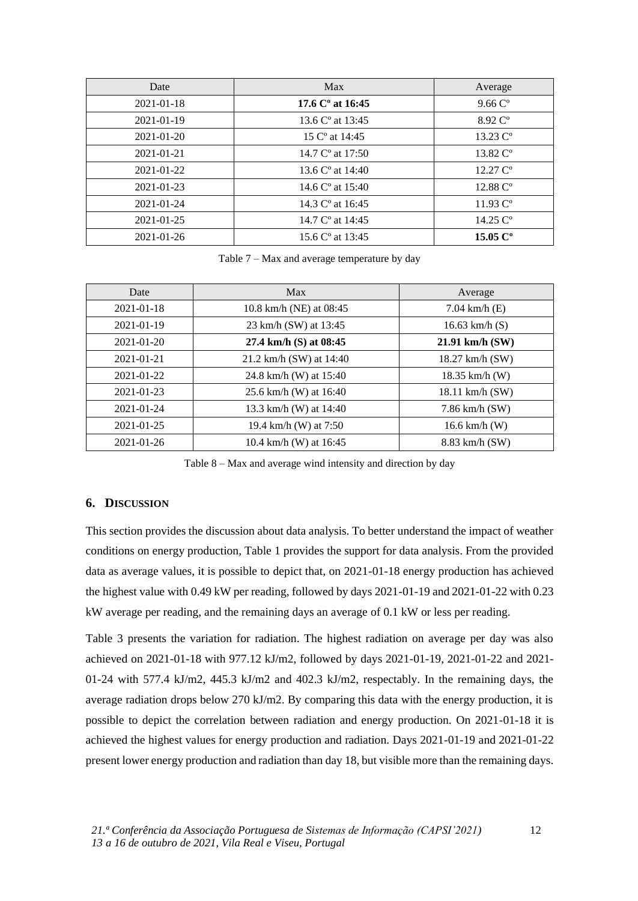| Date             | Max                          | Average                       |
|------------------|------------------------------|-------------------------------|
| 2021-01-18       | 17.6 $C^{\circ}$ at 16:45    | $9.66 \, \text{C}^{\circ}$    |
| 2021-01-19       | 13.6 $C^{\circ}$ at 13:45    | 8.92 C <sup>o</sup>           |
| 2021-01-20       | 15 C <sup>o</sup> at 14:45   | $13.23 \, \text{C}^{\circ}$   |
| 2021-01-21       | 14.7 $C^{\circ}$ at 17:50    | $13.82 \, \mathrm{C}^{\circ}$ |
| $2021 - 01 - 22$ | 13.6 $C^{\circ}$ at 14:40    | $12.27 \, \mathrm{C}^{\circ}$ |
| $2021 - 01 - 23$ | 14.6 $C^{\circ}$ at 15:40    | $12.88 \, \mathrm{C}^{\circ}$ |
| 2021-01-24       | 14.3 $C^{\circ}$ at 16:45    | $11.93 \, \text{C}^{\circ}$   |
| 2021-01-25       | 14.7 $C^{\circ}$ at 14:45    | 14.25 $C^{\circ}$             |
| 2021-01-26       | 15.6 C <sup>o</sup> at 13:45 | 15.05 $C^{\circ}$             |

Table 7 – Max and average temperature by day

| Date             | Max                      | Average            |
|------------------|--------------------------|--------------------|
| $2021 - 01 - 18$ | 10.8 km/h (NE) at 08:45  | 7.04 km/h $(E)$    |
| 2021-01-19       | 23 km/h (SW) at 13:45    | 16.63 km/h $(S)$   |
| $2021 - 01 - 20$ | 27.4 km/h (S) at 08:45   | $21.91$ km/h (SW)  |
| 2021-01-21       | 21.2 km/h (SW) at 14:40  | 18.27 km/h (SW)    |
| $2021 - 01 - 22$ | 24.8 km/h (W) at 15:40   | $18.35$ km/h (W)   |
| $2021 - 01 - 23$ | 25.6 km/h (W) at $16:40$ | 18.11 km/h (SW)    |
| $2021 - 01 - 24$ | 13.3 km/h (W) at 14:40   | $7.86$ km/h $(SW)$ |
| $2021 - 01 - 25$ | 19.4 km/h (W) at 7:50    | 16.6 km/h $(W)$    |
| $2021 - 01 - 26$ | 10.4 km/h (W) at $16:45$ | 8.83 km/h (SW)     |

Table 8 – Max and average wind intensity and direction by day

### **6. DISCUSSION**

This section provides the discussion about data analysis. To better understand the impact of weather conditions on energy production, Table 1 provides the support for data analysis. From the provided data as average values, it is possible to depict that, on 2021-01-18 energy production has achieved the highest value with 0.49 kW per reading, followed by days 2021-01-19 and 2021-01-22 with 0.23 kW average per reading, and the remaining days an average of 0.1 kW or less per reading.

Table 3 presents the variation for radiation. The highest radiation on average per day was also achieved on 2021-01-18 with 977.12 kJ/m2, followed by days 2021-01-19, 2021-01-22 and 2021- 01-24 with 577.4 kJ/m2, 445.3 kJ/m2 and 402.3 kJ/m2, respectably. In the remaining days, the average radiation drops below 270 kJ/m2. By comparing this data with the energy production, it is possible to depict the correlation between radiation and energy production. On 2021-01-18 it is achieved the highest values for energy production and radiation. Days 2021-01-19 and 2021-01-22 present lower energy production and radiation than day 18, but visible more than the remaining days.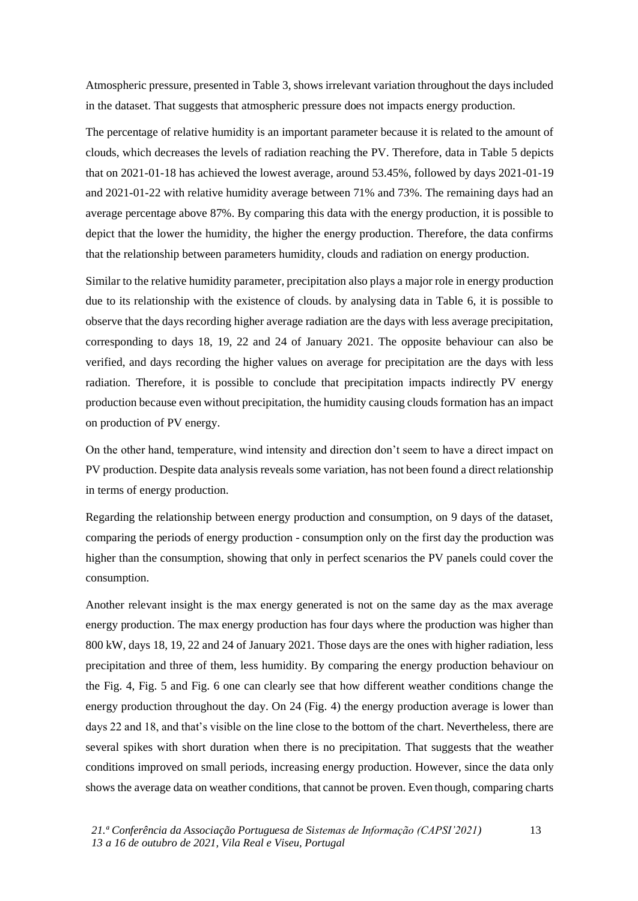Atmospheric pressure, presented in Table 3, shows irrelevant variation throughout the days included in the dataset. That suggests that atmospheric pressure does not impacts energy production.

The percentage of relative humidity is an important parameter because it is related to the amount of clouds, which decreases the levels of radiation reaching the PV. Therefore, data in Table 5 depicts that on 2021-01-18 has achieved the lowest average, around 53.45%, followed by days 2021-01-19 and 2021-01-22 with relative humidity average between 71% and 73%. The remaining days had an average percentage above 87%. By comparing this data with the energy production, it is possible to depict that the lower the humidity, the higher the energy production. Therefore, the data confirms that the relationship between parameters humidity, clouds and radiation on energy production.

Similar to the relative humidity parameter, precipitation also plays a major role in energy production due to its relationship with the existence of clouds. by analysing data in Table 6, it is possible to observe that the days recording higher average radiation are the days with less average precipitation, corresponding to days 18, 19, 22 and 24 of January 2021. The opposite behaviour can also be verified, and days recording the higher values on average for precipitation are the days with less radiation. Therefore, it is possible to conclude that precipitation impacts indirectly PV energy production because even without precipitation, the humidity causing clouds formation has an impact on production of PV energy.

On the other hand, temperature, wind intensity and direction don't seem to have a direct impact on PV production. Despite data analysis reveals some variation, has not been found a direct relationship in terms of energy production.

Regarding the relationship between energy production and consumption, on 9 days of the dataset, comparing the periods of energy production - consumption only on the first day the production was higher than the consumption, showing that only in perfect scenarios the PV panels could cover the consumption.

Another relevant insight is the max energy generated is not on the same day as the max average energy production. The max energy production has four days where the production was higher than 800 kW, days 18, 19, 22 and 24 of January 2021. Those days are the ones with higher radiation, less precipitation and three of them, less humidity. By comparing the energy production behaviour on the Fig. 4, Fig. 5 and Fig. 6 one can clearly see that how different weather conditions change the energy production throughout the day. On 24 (Fig. 4) the energy production average is lower than days 22 and 18, and that's visible on the line close to the bottom of the chart. Nevertheless, there are several spikes with short duration when there is no precipitation. That suggests that the weather conditions improved on small periods, increasing energy production. However, since the data only shows the average data on weather conditions, that cannot be proven. Even though, comparing charts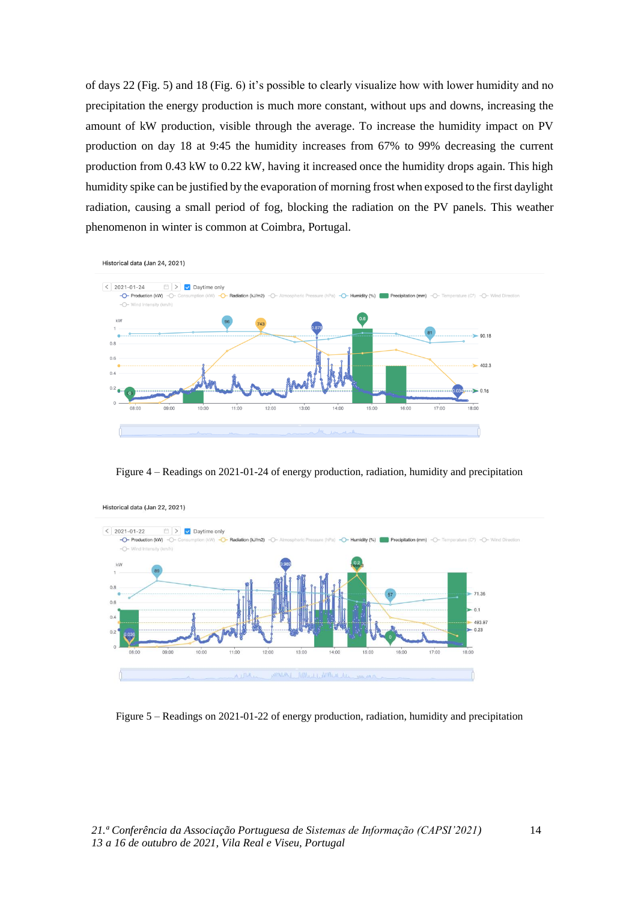of days 22 (Fig. 5) and 18 (Fig. 6) it's possible to clearly visualize how with lower humidity and no precipitation the energy production is much more constant, without ups and downs, increasing the amount of kW production, visible through the average. To increase the humidity impact on PV production on day 18 at 9:45 the humidity increases from 67% to 99% decreasing the current production from 0.43 kW to 0.22 kW, having it increased once the humidity drops again. This high humidity spike can be justified by the evaporation of morning frost when exposed to the first daylight radiation, causing a small period of fog, blocking the radiation on the PV panels. This weather phenomenon in winter is common at Coimbra, Portugal.



Figure 4 – Readings on 2021-01-24 of energy production, radiation, humidity and precipitation



Figure 5 – Readings on 2021-01-22 of energy production, radiation, humidity and precipitation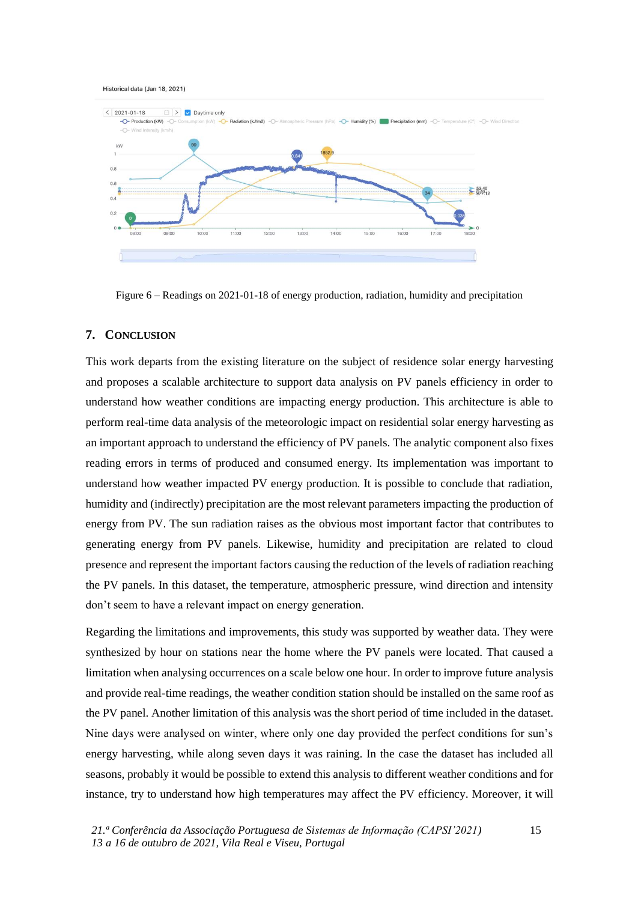#### Historical data (Jan 18, 2021)



Figure 6 – Readings on 2021-01-18 of energy production, radiation, humidity and precipitation

#### **7. CONCLUSION**

This work departs from the existing literature on the subject of residence solar energy harvesting and proposes a scalable architecture to support data analysis on PV panels efficiency in order to understand how weather conditions are impacting energy production. This architecture is able to perform real-time data analysis of the meteorologic impact on residential solar energy harvesting as an important approach to understand the efficiency of PV panels. The analytic component also fixes reading errors in terms of produced and consumed energy. Its implementation was important to understand how weather impacted PV energy production. It is possible to conclude that radiation, humidity and (indirectly) precipitation are the most relevant parameters impacting the production of energy from PV. The sun radiation raises as the obvious most important factor that contributes to generating energy from PV panels. Likewise, humidity and precipitation are related to cloud presence and represent the important factors causing the reduction of the levels of radiation reaching the PV panels. In this dataset, the temperature, atmospheric pressure, wind direction and intensity don't seem to have a relevant impact on energy generation.

Regarding the limitations and improvements, this study was supported by weather data. They were synthesized by hour on stations near the home where the PV panels were located. That caused a limitation when analysing occurrences on a scale below one hour. In order to improve future analysis and provide real-time readings, the weather condition station should be installed on the same roof as the PV panel. Another limitation of this analysis was the short period of time included in the dataset. Nine days were analysed on winter, where only one day provided the perfect conditions for sun's energy harvesting, while along seven days it was raining. In the case the dataset has included all seasons, probably it would be possible to extend this analysis to different weather conditions and for instance, try to understand how high temperatures may affect the PV efficiency. Moreover, it will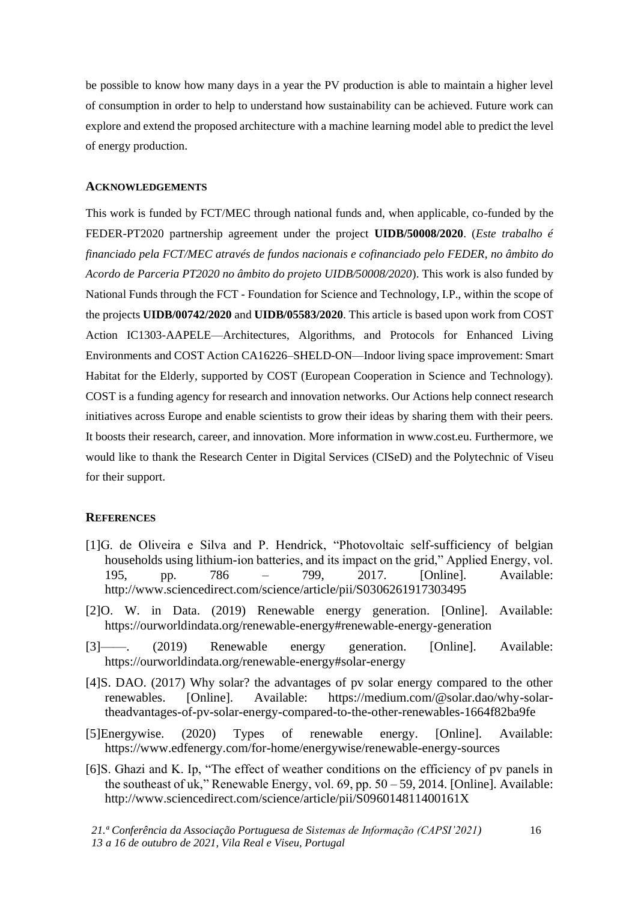be possible to know how many days in a year the PV production is able to maintain a higher level of consumption in order to help to understand how sustainability can be achieved. Future work can explore and extend the proposed architecture with a machine learning model able to predict the level of energy production.

#### **ACKNOWLEDGEMENTS**

This work is funded by FCT/MEC through national funds and, when applicable, co-funded by the FEDER-PT2020 partnership agreement under the project **UIDB/50008/2020**. (*Este trabalho é financiado pela FCT/MEC através de fundos nacionais e cofinanciado pelo FEDER, no âmbito do Acordo de Parceria PT2020 no âmbito do projeto UIDB/50008/2020*). This work is also funded by National Funds through the FCT - Foundation for Science and Technology, I.P., within the scope of the projects **UIDB/00742/2020** and **UIDB/05583/2020**. This article is based upon work from COST Action IC1303-AAPELE—Architectures, Algorithms, and Protocols for Enhanced Living Environments and COST Action CA16226–SHELD-ON—Indoor living space improvement: Smart Habitat for the Elderly, supported by COST (European Cooperation in Science and Technology). COST is a funding agency for research and innovation networks. Our Actions help connect research initiatives across Europe and enable scientists to grow their ideas by sharing them with their peers. It boosts their research, career, and innovation. More information in www.cost.eu. Furthermore, we would like to thank the Research Center in Digital Services (CISeD) and the Polytechnic of Viseu for their support.

#### **REFERENCES**

- [1]G. de Oliveira e Silva and P. Hendrick, "Photovoltaic self-sufficiency of belgian households using lithium-ion batteries, and its impact on the grid," Applied Energy, vol. 195, pp. 786 – 799, 2017. [Online]. Available: http://www.sciencedirect.com/science/article/pii/S0306261917303495
- [2]O. W. in Data. (2019) Renewable energy generation. [Online]. Available: https://ourworldindata.org/renewable-energy#renewable-energy-generation
- [3]——. (2019) Renewable energy generation. [Online]. Available: https://ourworldindata.org/renewable-energy#solar-energy
- [4]S. DAO. (2017) Why solar? the advantages of pv solar energy compared to the other renewables. [Online]. Available: https://medium.com/@solar.dao/why-solartheadvantages-of-pv-solar-energy-compared-to-the-other-renewables-1664f82ba9fe
- [5]Energywise. (2020) Types of renewable energy. [Online]. Available: https://www.edfenergy.com/for-home/energywise/renewable-energy-sources
- [6]S. Ghazi and K. Ip, "The effect of weather conditions on the efficiency of pv panels in the southeast of uk," Renewable Energy, vol. 69, pp. 50 – 59, 2014. [Online]. Available: http://www.sciencedirect.com/science/article/pii/S096014811400161X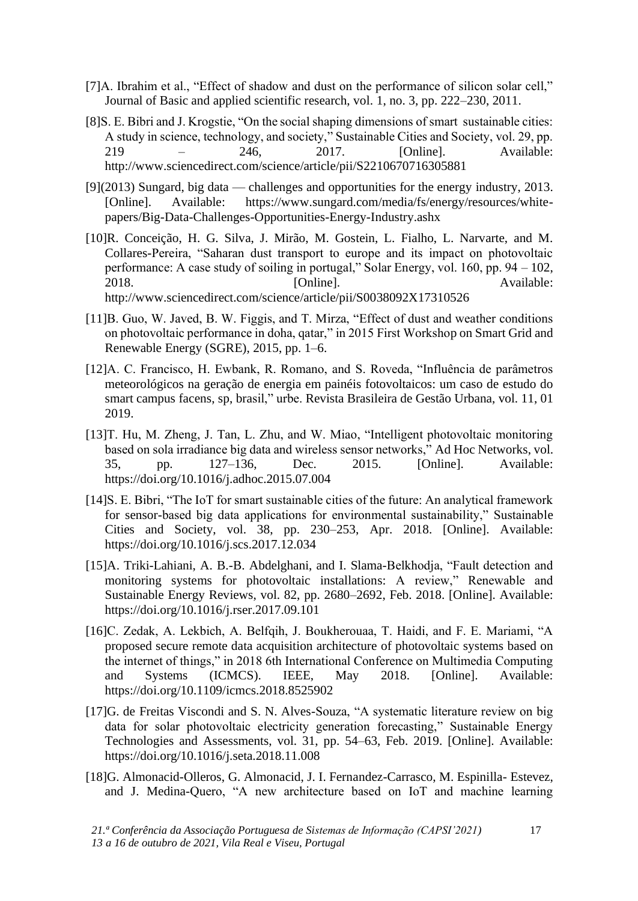- [7]A. Ibrahim et al., "Effect of shadow and dust on the performance of silicon solar cell," Journal of Basic and applied scientific research, vol. 1, no. 3, pp. 222–230, 2011.
- [8]S. E. Bibri and J. Krogstie, "On the social shaping dimensions of smart sustainable cities: A study in science, technology, and society," Sustainable Cities and Society, vol. 29, pp. 219 – 246, 2017. [Online]. Available: http://www.sciencedirect.com/science/article/pii/S2210670716305881
- [9](2013) Sungard, big data challenges and opportunities for the energy industry, 2013. [Online]. Available: https://www.sungard.com/media/fs/energy/resources/whitepapers/Big-Data-Challenges-Opportunities-Energy-Industry.ashx
- [10]R. Conceição, H. G. Silva, J. Mirão, M. Gostein, L. Fialho, L. Narvarte, and M. Collares-Pereira, "Saharan dust transport to europe and its impact on photovoltaic performance: A case study of soiling in portugal," Solar Energy, vol. 160, pp. 94 – 102, 2018. **Communist Communist Example 1** Continued Continued Available: http://www.sciencedirect.com/science/article/pii/S0038092X17310526
- [11]B. Guo, W. Javed, B. W. Figgis, and T. Mirza, "Effect of dust and weather conditions on photovoltaic performance in doha, qatar," in 2015 First Workshop on Smart Grid and Renewable Energy (SGRE), 2015, pp. 1–6.
- [12]A. C. Francisco, H. Ewbank, R. Romano, and S. Roveda, "Influência de parâmetros meteorológicos na geração de energia em painéis fotovoltaicos: um caso de estudo do smart campus facens, sp, brasil," urbe. Revista Brasileira de Gestão Urbana, vol. 11, 01 2019.
- [13]T. Hu, M. Zheng, J. Tan, L. Zhu, and W. Miao, "Intelligent photovoltaic monitoring based on sola irradiance big data and wireless sensor networks," Ad Hoc Networks, vol. 35, pp. 127–136, Dec. 2015. [Online]. Available: https://doi.org/10.1016/j.adhoc.2015.07.004
- [14]S. E. Bibri, "The IoT for smart sustainable cities of the future: An analytical framework for sensor-based big data applications for environmental sustainability," Sustainable Cities and Society, vol. 38, pp. 230–253, Apr. 2018. [Online]. Available: https://doi.org/10.1016/j.scs.2017.12.034
- [15]A. Triki-Lahiani, A. B.-B. Abdelghani, and I. Slama-Belkhodja, "Fault detection and monitoring systems for photovoltaic installations: A review," Renewable and Sustainable Energy Reviews, vol. 82, pp. 2680–2692, Feb. 2018. [Online]. Available: https://doi.org/10.1016/j.rser.2017.09.101
- [16]C. Zedak, A. Lekbich, A. Belfqih, J. Boukherouaa, T. Haidi, and F. E. Mariami, "A proposed secure remote data acquisition architecture of photovoltaic systems based on the internet of things," in 2018 6th International Conference on Multimedia Computing and Systems (ICMCS). IEEE, May 2018. [Online]. Available: https://doi.org/10.1109/icmcs.2018.8525902
- [17]G. de Freitas Viscondi and S. N. Alves-Souza, "A systematic literature review on big data for solar photovoltaic electricity generation forecasting," Sustainable Energy Technologies and Assessments, vol. 31, pp. 54–63, Feb. 2019. [Online]. Available: https://doi.org/10.1016/j.seta.2018.11.008
- [18]G. Almonacid-Olleros, G. Almonacid, J. I. Fernandez-Carrasco, M. Espinilla- Estevez, and J. Medina-Quero, "A new architecture based on IoT and machine learning